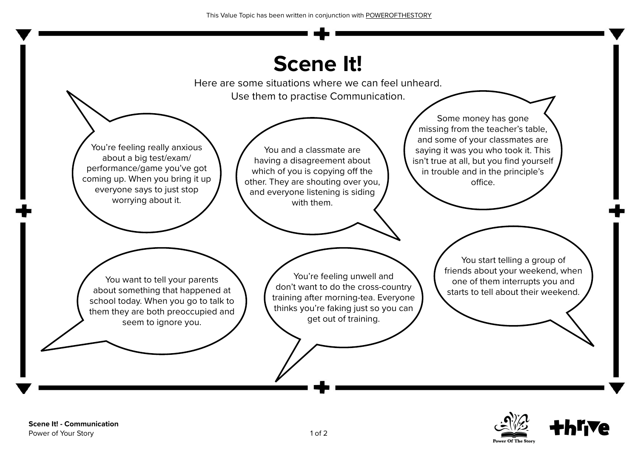